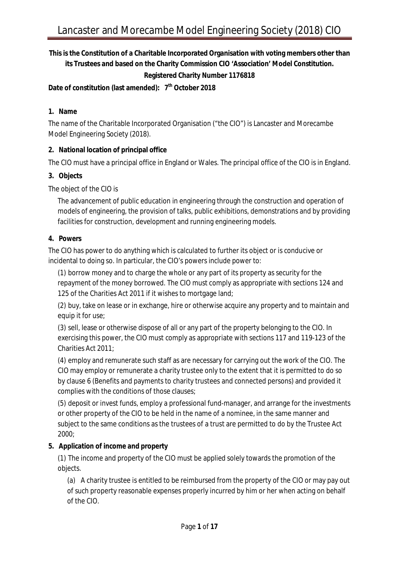**This is the Constitution of a Charitable Incorporated Organisation with voting members other than its Trustees and based on the Charity Commission CIO 'Association' Model Constitution.** 

**Registered Charity Number 1176818** 

**Date of constitution (last amended): 7th October 2018** 

**1. Name** 

The name of the Charitable Incorporated Organisation ("the CIO") is Lancaster and Morecambe Model Engineering Society (2018).

**2. National location of principal office** 

The CIO must have a principal office in England or Wales. The principal office of the CIO is in England.

**3. Objects** 

The object of the CIO is

The advancement of public education in engineering through the construction and operation of models of engineering, the provision of talks, public exhibitions, demonstrations and by providing facilities for construction, development and running engineering models.

**4. Powers** 

The CIO has power to do anything which is calculated to further its object or is conducive or incidental to doing so. In particular, the CIO's powers include power to:

(1) borrow money and to charge the whole or any part of its property as security for the repayment of the money borrowed. The CIO must comply as appropriate with sections 124 and 125 of the Charities Act 2011 if it wishes to mortgage land;

(2) buy, take on lease or in exchange, hire or otherwise acquire any property and to maintain and equip it for use;

(3) sell, lease or otherwise dispose of all or any part of the property belonging to the CIO. In exercising this power, the CIO must comply as appropriate with sections 117 and 119-123 of the Charities Act 2011;

(4) employ and remunerate such staff as are necessary for carrying out the work of the CIO. The CIO may employ or remunerate a charity trustee only to the extent that it is permitted to do so by clause 6 (Benefits and payments to charity trustees and connected persons) and provided it complies with the conditions of those clauses;

(5) deposit or invest funds, employ a professional fund-manager, and arrange for the investments or other property of the CIO to be held in the name of a nominee, in the same manner and subject to the same conditions as the trustees of a trust are permitted to do by the Trustee Act 2000;

**5. Application of income and property** 

(1) The income and property of the CIO must be applied solely towards the promotion of the objects.

(a) A charity trustee is entitled to be reimbursed from the property of the CIO or may pay out of such property reasonable expenses properly incurred by him or her when acting on behalf of the CIO.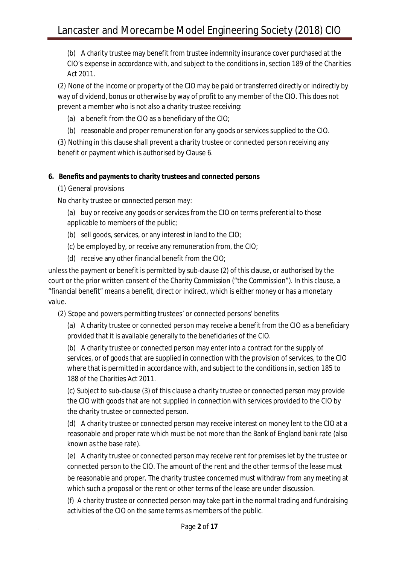(b) A charity trustee may benefit from trustee indemnity insurance cover purchased at the CIO's expense in accordance with, and subject to the conditions in, section 189 of the Charities Act 2011.

(2) None of the income or property of the CIO may be paid or transferred directly or indirectly by way of dividend, bonus or otherwise by way of profit to any member of the CIO. This does not prevent a member who is not also a charity trustee receiving:

- (a) a benefit from the CIO as a beneficiary of the CIO;
- (b) reasonable and proper remuneration for any goods or services supplied to the CIO.

(3) Nothing in this clause shall prevent a charity trustee or connected person receiving any benefit or payment which is authorised by Clause 6.

- **6. Benefits and payments to charity trustees and connected persons** 
	- (1) General provisions

No charity trustee or connected person may:

- (a) buy or receive any goods or services from the CIO on terms preferential to those applicable to members of the public;
- (b) sell goods, services, or any interest in land to the CIO;
- (c) be employed by, or receive any remuneration from, the CIO;
- (d) receive any other financial benefit from the CIO;

unless the payment or benefit is permitted by sub-clause (2) of this clause, or authorised by the court or the prior written consent of the Charity Commission ("the Commission"). In this clause, a "financial benefit" means a benefit, direct or indirect, which is either money or has a monetary value.

(2) Scope and powers permitting trustees' or connected persons' benefits

(a) A charity trustee or connected person may receive a benefit from the CIO as a beneficiary provided that it is available generally to the beneficiaries of the CIO.

(b) A charity trustee or connected person may enter into a contract for the supply of services, or of goods that are supplied in connection with the provision of services, to the CIO where that is permitted in accordance with, and subject to the conditions in, section 185 to 188 of the Charities Act 2011.

(c) Subject to sub-clause (3) of this clause a charity trustee or connected person may provide the CIO with goods that are not supplied in connection with services provided to the CIO by the charity trustee or connected person.

(d) A charity trustee or connected person may receive interest on money lent to the CIO at a reasonable and proper rate which must be not more than the Bank of England bank rate (also known as the base rate).

(e) A charity trustee or connected person may receive rent for premises let by the trustee or connected person to the CIO. The amount of the rent and the other terms of the lease must

be reasonable and proper. The charity trustee concerned must withdraw from any meeting at which such a proposal or the rent or other terms of the lease are under discussion.

(f) A charity trustee or connected person may take part in the normal trading and fundraising activities of the CIO on the same terms as members of the public.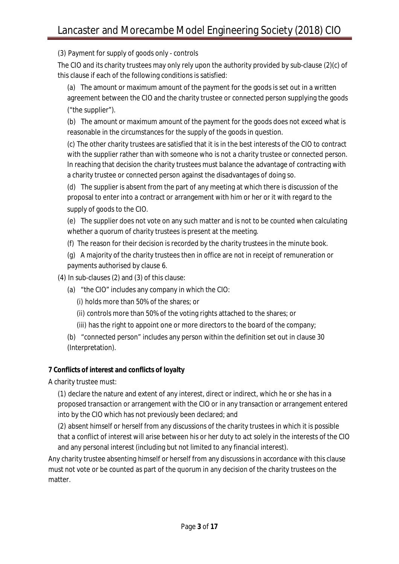(3) Payment for supply of goods only - controls

The CIO and its charity trustees may only rely upon the authority provided by sub-clause (2)(c) of this clause if each of the following conditions is satisfied:

(a) The amount or maximum amount of the payment for the goods is set out in a written agreement between the CIO and the charity trustee or connected person supplying the goods ("the supplier").

(b) The amount or maximum amount of the payment for the goods does not exceed what is reasonable in the circumstances for the supply of the goods in question.

(c) The other charity trustees are satisfied that it is in the best interests of the CIO to contract with the supplier rather than with someone who is not a charity trustee or connected person. In reaching that decision the charity trustees must balance the advantage of contracting with a charity trustee or connected person against the disadvantages of doing so.

(d) The supplier is absent from the part of any meeting at which there is discussion of the proposal to enter into a contract or arrangement with him or her or it with regard to the supply of goods to the CIO.

(e) The supplier does not vote on any such matter and is not to be counted when calculating whether a quorum of charity trustees is present at the meeting.

- (f) The reason for their decision is recorded by the charity trustees in the minute book.
- (g) A majority of the charity trustees then in office are not in receipt of remuneration or payments authorised by clause 6.
- (4) In sub-clauses (2) and (3) of this clause:
	- (a) "the CIO" includes any company in which the CIO:
		- (i) holds more than 50% of the shares; or
		- (ii) controls more than 50% of the voting rights attached to the shares; or
		- (iii) has the right to appoint one or more directors to the board of the company;
	- (b) "connected person" includes any person within the definition set out in clause 30 (Interpretation).

**7 Conflicts of interest and conflicts of loyalty** 

A charity trustee must:

(1) declare the nature and extent of any interest, direct or indirect, which he or she has in a proposed transaction or arrangement with the CIO or in any transaction or arrangement entered into by the CIO which has not previously been declared; and

(2) absent himself or herself from any discussions of the charity trustees in which it is possible that a conflict of interest will arise between his or her duty to act solely in the interests of the CIO and any personal interest (including but not limited to any financial interest).

Any charity trustee absenting himself or herself from any discussions in accordance with this clause must not vote or be counted as part of the quorum in any decision of the charity trustees on the matter.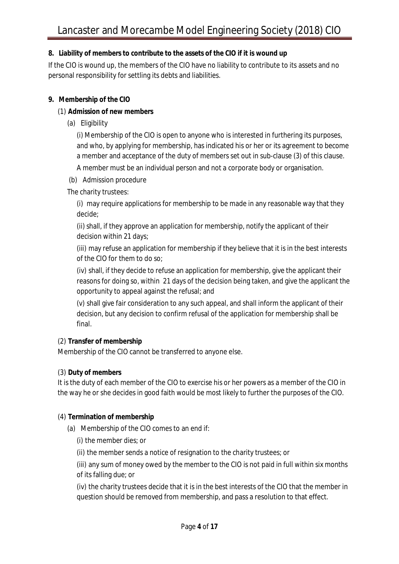## **8. Liability of members to contribute to the assets of the CIO if it is wound up**

If the CIO is wound up, the members of the CIO have no liability to contribute to its assets and no personal responsibility for settling its debts and liabilities.

## **9. Membership of the CIO**

(1) **Admission of new members** 

(a) Eligibility

(i) Membership of the CIO is open to anyone who is interested in furthering its purposes, and who, by applying for membership, has indicated his or her or its agreement to become a member and acceptance of the duty of members set out in sub-clause (3) of this clause.

A member must be an individual person and not a corporate body or organisation.

(b) Admission procedure

The charity trustees:

(i) may require applications for membership to be made in any reasonable way that they decide;

(ii) shall, if they approve an application for membership, notify the applicant of their decision within 21 days;

(iii) may refuse an application for membership if they believe that it is in the best interests of the CIO for them to do so;

(iv) shall, if they decide to refuse an application for membership, give the applicant their reasons for doing so, within 21 days of the decision being taken, and give the applicant the opportunity to appeal against the refusal; and

(v) shall give fair consideration to any such appeal, and shall inform the applicant of their decision, but any decision to confirm refusal of the application for membership shall be final.

(2) **Transfer of membership** 

Membership of the CIO cannot be transferred to anyone else.

(3) **Duty of members** 

It is the duty of each member of the CIO to exercise his or her powers as a member of the CIO in the way he or she decides in good faith would be most likely to further the purposes of the CIO.

(4) **Termination of membership** 

- (a) Membership of the CIO comes to an end if:
	- (i) the member dies; or
	- (ii) the member sends a notice of resignation to the charity trustees; or

(iii) any sum of money owed by the member to the CIO is not paid in full within six months of its falling due; or

(iv) the charity trustees decide that it is in the best interests of the CIO that the member in question should be removed from membership, and pass a resolution to that effect.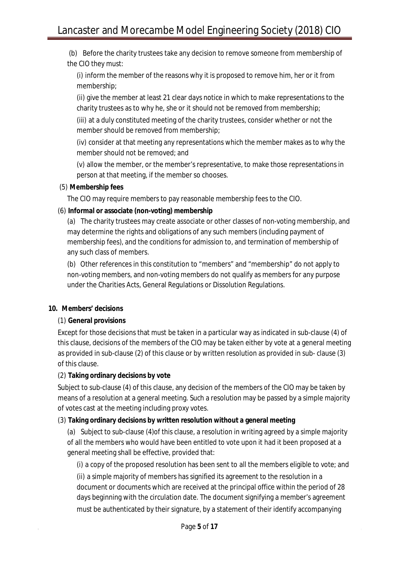(b) Before the charity trustees take any decision to remove someone from membership of the CIO they must:

(i) inform the member of the reasons why it is proposed to remove him, her or it from membership;

(ii) give the member at least 21 clear days notice in which to make representations to the charity trustees as to why he, she or it should not be removed from membership;

(iii) at a duly constituted meeting of the charity trustees, consider whether or not the member should be removed from membership;

(iv) consider at that meeting any representations which the member makes as to why the member should not be removed; and

(v) allow the member, or the member's representative, to make those representations in person at that meeting, if the member so chooses.

(5) **Membership fees** 

The CIO may require members to pay reasonable membership fees to the CIO.

(6) **Informal or associate (non-voting) membership** 

(a) The charity trustees may create associate or other classes of non-voting membership, and may determine the rights and obligations of any such members (including payment of membership fees), and the conditions for admission to, and termination of membership of any such class of members.

(b) Other references in this constitution to "members" and "membership" do not apply to non-voting members, and non-voting members do not qualify as members for any purpose under the Charities Acts, General Regulations or Dissolution Regulations.

## **10. Members' decisions**

## (1) **General provisions**

Except for those decisions that must be taken in a particular way as indicated in sub-clause (4) of this clause, decisions of the members of the CIO may be taken either by vote at a general meeting as provided in sub-clause (2) of this clause or by written resolution as provided in sub- clause (3) of this clause.

## (2) **Taking ordinary decisions by vote**

Subject to sub-clause (4) of this clause, any decision of the members of the CIO may be taken by means of a resolution at a general meeting. Such a resolution may be passed by a simple majority of votes cast at the meeting including proxy votes.

(3) **Taking ordinary decisions by written resolution without a general meeting** 

(a) Subject to sub-clause (4)of this clause, a resolution in writing agreed by a simple majority of all the members who would have been entitled to vote upon it had it been proposed at a general meeting shall be effective, provided that:

(i) a copy of the proposed resolution has been sent to all the members eligible to vote; and

(ii) a simple majority of members has signified its agreement to the resolution in a document or documents which are received at the principal office within the period of 28 days beginning with the circulation date. The document signifying a member's agreement must be authenticated by their signature, by a statement of their identify accompanying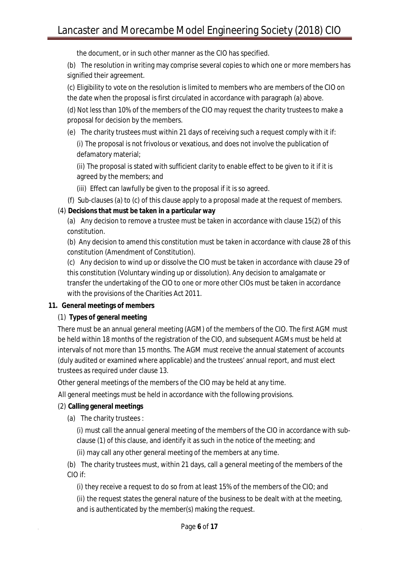the document, or in such other manner as the CIO has specified.

(b) The resolution in writing may comprise several copies to which one or more members has signified their agreement.

(c) Eligibility to vote on the resolution is limited to members who are members of the CIO on the date when the proposal is first circulated in accordance with paragraph (a) above.

(d) Not less than 10% of the members of the CIO may request the charity trustees to make a proposal for decision by the members.

(e) The charity trustees must within 21 days of receiving such a request comply with it if:

(i) The proposal is not frivolous or vexatious, and does not involve the publication of defamatory material;

(ii) The proposal is stated with sufficient clarity to enable effect to be given to it if it is agreed by the members; and

(iii) Effect can lawfully be given to the proposal if it is so agreed.

 (f) Sub-clauses (a) to (c) of this clause apply to a proposal made at the request of members. (4) **Decisions that must be taken in a particular way** 

(a) Any decision to remove a trustee must be taken in accordance with clause 15(2) of this constitution.

(b) Any decision to amend this constitution must be taken in accordance with clause 28 of this constitution (Amendment of Constitution).

(c) Any decision to wind up or dissolve the CIO must be taken in accordance with clause 29 of this constitution (Voluntary winding up or dissolution). Any decision to amalgamate or transfer the undertaking of the CIO to one or more other CIOs must be taken in accordance with the provisions of the Charities Act 2011.

## **11. General meetings of members**

(1) **Types of general meeting** 

There must be an annual general meeting (AGM) of the members of the CIO. The first AGM must be held within 18 months of the registration of the CIO, and subsequent AGMs must be held at intervals of not more than 15 months. The AGM must receive the annual statement of accounts (duly audited or examined where applicable) and the trustees' annual report, and must elect trustees as required under clause 13.

Other general meetings of the members of the CIO may be held at any time.

All general meetings must be held in accordance with the following provisions.

(2) **Calling general meetings** 

(a) The charity trustees :

(i) must call the annual general meeting of the members of the CIO in accordance with subclause (1) of this clause, and identify it as such in the notice of the meeting; and

(ii) may call any other general meeting of the members at any time.

(b) The charity trustees must, within 21 days, call a general meeting of the members of the CIO if:

(i) they receive a request to do so from at least 15% of the members of the CIO; and

(ii) the request states the general nature of the business to be dealt with at the meeting, and is authenticated by the member(s) making the request.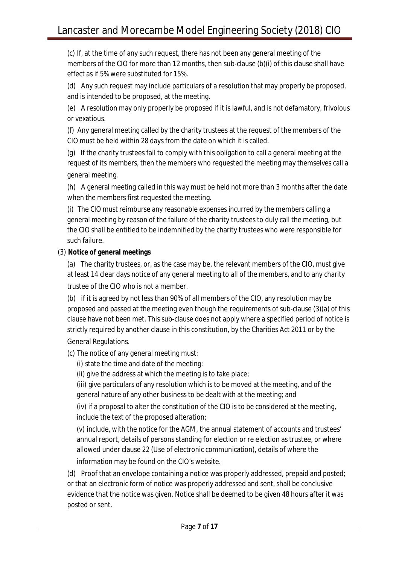(c) If, at the time of any such request, there has not been any general meeting of the members of the CIO for more than 12 months, then sub-clause (b)(i) of this clause shall have effect as if 5% were substituted for 15%.

(d) Any such request may include particulars of a resolution that may properly be proposed, and is intended to be proposed, at the meeting.

(e) A resolution may only properly be proposed if it is lawful, and is not defamatory, frivolous or vexatious.

(f) Any general meeting called by the charity trustees at the request of the members of the CIO must be held within 28 days from the date on which it is called.

(g) If the charity trustees fail to comply with this obligation to call a general meeting at the request of its members, then the members who requested the meeting may themselves call a general meeting.

(h) A general meeting called in this way must be held not more than 3 months after the date when the members first requested the meeting.

(i) The CIO must reimburse any reasonable expenses incurred by the members calling a general meeting by reason of the failure of the charity trustees to duly call the meeting, but the CIO shall be entitled to be indemnified by the charity trustees who were responsible for such failure.

(3) **Notice of general meetings** 

(a) The charity trustees, or, as the case may be, the relevant members of the CIO, must give at least 14 clear days notice of any general meeting to all of the members, and to any charity trustee of the CIO who is not a member.

(b) if it is agreed by not less than 90% of all members of the CIO, any resolution may be proposed and passed at the meeting even though the requirements of sub-clause (3)(a) of this clause have not been met. This sub-clause does not apply where a specified period of notice is strictly required by another clause in this constitution, by the Charities Act 2011 or by the General Regulations.

(c) The notice of any general meeting must:

(i) state the time and date of the meeting:

(ii) give the address at which the meeting is to take place;

(iii) give particulars of any resolution which is to be moved at the meeting, and of the general nature of any other business to be dealt with at the meeting; and

(iv) if a proposal to alter the constitution of the CIO is to be considered at the meeting, include the text of the proposed alteration;

(v) include, with the notice for the AGM, the annual statement of accounts and trustees' annual report, details of persons standing for election or re election as trustee, or where allowed under clause 22 (Use of electronic communication), details of where the information may be found on the CIO's website.

(d) Proof that an envelope containing a notice was properly addressed, prepaid and posted; or that an electronic form of notice was properly addressed and sent, shall be conclusive evidence that the notice was given. Notice shall be deemed to be given 48 hours after it was posted or sent.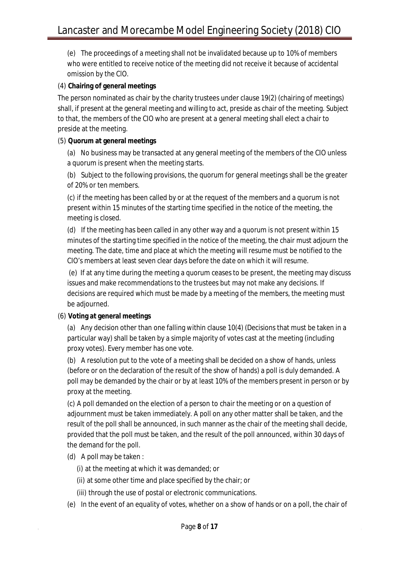(e) The proceedings of a meeting shall not be invalidated because up to 10% of members who were entitled to receive notice of the meeting did not receive it because of accidental omission by the ClO.

(4) **Chairing of general meetings** 

The person nominated as chair by the charity trustees under clause 19(2) (chairing of meetings) shall, if present at the general meeting and willing to act, preside as chair of the meeting. Subject to that, the members of the CIO who are present at a general meeting shall elect a chair to preside at the meeting.

(5) **Quorum at general meetings** 

(a) No business may be transacted at any general meeting of the members of the CIO unless a quorum is present when the meeting starts.

(b) Subject to the following provisions, the quorum for general meetings shall be the greater of 20% or ten members.

(c) if the meeting has been called by or at the request of the members and a quorum is not present within 15 minutes of the starting time specified in the notice of the meeting, the meeting is closed.

(d) If the meeting has been called in any other way and a quorum is not present within 15 minutes of the starting time specified in the notice of the meeting, the chair must adjourn the meeting. The date, time and place at which the meeting will resume must be notified to the CIO's members at least seven clear days before the date on which it will resume.

(e) If at any time during the meeting a quorum ceases to be present, the meeting may discuss issues and make recommendations to the trustees but may not make any decisions. If decisions are required which must be made by a meeting of the members, the meeting must be adjourned.

(6) **Voting at general meetings** 

(a) Any decision other than one falling within clause 10(4) (Decisions that must be taken in a particular way) shall be taken by a simple majority of votes cast at the meeting (including proxy votes). Every member has one vote.

(b) A resolution put to the vote of a meeting shall be decided on a show of hands, unless (before or on the declaration of the result of the show of hands) a poll is duly demanded. A poll may be demanded by the chair or by at least 10% of the members present in person or by proxy at the meeting.

(c) A poll demanded on the election of a person to chair the meeting or on a question of adjournment must be taken immediately. A poll on any other matter shall be taken, and the result of the poll shall be announced, in such manner as the chair of the meeting shall decide, provided that the poll must be taken, and the result of the poll announced, within 30 days of the demand for the poll.

- (d) A poll may be taken :
	- (i) at the meeting at which it was demanded; or
	- (ii) at some other time and place specified by the chair; or
	- (iii) through the use of postal or electronic communications.
- (e) In the event of an equality of votes, whether on a show of hands or on a poll, the chair of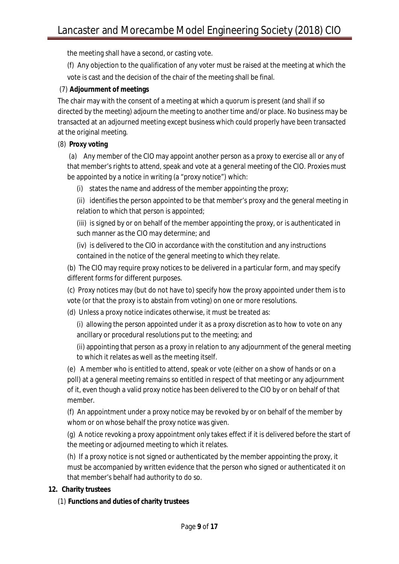the meeting shall have a second, or casting vote.

(f) Any objection to the qualification of any voter must be raised at the meeting at which the vote is cast and the decision of the chair of the meeting shall be final.

(7) **Adjournment of meetings** 

The chair may with the consent of a meeting at which a quorum is present (and shall if so directed by the meeting) adjourn the meeting to another time and/or place. No business may be transacted at an adjourned meeting except business which could properly have been transacted at the original meeting.

(8) **Proxy voting**

(a) Any member of the CIO may appoint another person as a proxy to exercise all or any of that member's rights to attend, speak and vote at a general meeting of the CIO. Proxies must be appointed by a notice in writing (a "proxy notice") which:

(i) states the name and address of the member appointing the proxy;

(ii) identifies the person appointed to be that member's proxy and the general meeting in relation to which that person is appointed;

(iii) is signed by or on behalf of the member appointing the proxy, or is authenticated in such manner as the CIO may determine; and

(iv) is delivered to the CIO in accordance with the constitution and any instructions contained in the notice of the general meeting to which they relate.

(b) The CIO may require proxy notices to be delivered in a particular form, and may specify different forms for different purposes.

(c) Proxy notices may (but do not have to) specify how the proxy appointed under them is to vote (or that the proxy is to abstain from voting) on one or more resolutions.

(d) Unless a proxy notice indicates otherwise, it must be treated as:

(i) allowing the person appointed under it as a proxy discretion as to how to vote on any ancillary or procedural resolutions put to the meeting; and

(ii) appointing that person as a proxy in relation to any adjournment of the general meeting to which it relates as well as the meeting itself.

(e) A member who is entitled to attend, speak or vote (either on a show of hands or on a poll) at a general meeting remains so entitled in respect of that meeting or any adjournment of it, even though a valid proxy notice has been delivered to the CIO by or on behalf of that member.

(f) An appointment under a proxy notice may be revoked by or on behalf of the member by whom or on whose behalf the proxy notice was given.

(g) A notice revoking a proxy appointment only takes effect if it is delivered before the start of the meeting or adjourned meeting to which it relates.

(h) If a proxy notice is not signed or authenticated by the member appointing the proxy, it must be accompanied by written evidence that the person who signed or authenticated it on that member's behalf had authority to do so.

**12. Charity trustees** 

(1) **Functions and duties of charity trustees**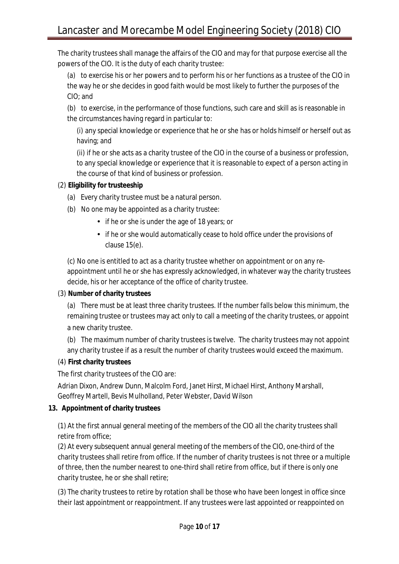The charity trustees shall manage the affairs of the CIO and may for that purpose exercise all the powers of the CIO. It is the duty of each charity trustee:

(a) to exercise his or her powers and to perform his or her functions as a trustee of the CIO in the way he or she decides in good faith would be most likely to further the purposes of the CIO; and

(b) to exercise, in the performance of those functions, such care and skill as is reasonable in the circumstances having regard in particular to:

(i) any special knowledge or experience that he or she has or holds himself or herself out as having; and

(ii) if he or she acts as a charity trustee of the CIO in the course of a business or profession, to any special knowledge or experience that it is reasonable to expect of a person acting in the course of that kind of business or profession.

- (2) **Eligibility for trusteeship** 
	- (a) Every charity trustee must be a natural person.
	- (b) No one may be appointed as a charity trustee:
		- if he or she is under the age of 18 years; or
		- if he or she would automatically cease to hold office under the provisions of clause 15(e).

(c) No one is entitled to act as a charity trustee whether on appointment or on any reappointment until he or she has expressly acknowledged, in whatever way the charity trustees decide, his or her acceptance of the office of charity trustee.

(3) **Number of charity trustees** 

(a) There must be at least three charity trustees. If the number falls below this minimum, the remaining trustee or trustees may act only to call a meeting of the charity trustees, or appoint a new charity trustee.

(b) The maximum number of charity trustees is twelve. The charity trustees may not appoint any charity trustee if as a result the number of charity trustees would exceed the maximum.

(4) **First charity trustees** 

The first charity trustees of the CIO are:

Adrian Dixon, Andrew Dunn, Malcolm Ford, Janet Hirst, Michael Hirst, Anthony Marshall, Geoffrey Martell, Bevis Mulholland, Peter Webster, David Wilson

**13. Appointment of charity trustees** 

(1) At the first annual general meeting of the members of the CIO all the charity trustees shall retire from office;

(2) At every subsequent annual general meeting of the members of the CIO, one-third of the charity trustees shall retire from office. If the number of charity trustees is not three or a multiple of three, then the number nearest to one-third shall retire from office, but if there is only one charity trustee, he or she shall retire;

(3) The charity trustees to retire by rotation shall be those who have been longest in office since their last appointment or reappointment. If any trustees were last appointed or reappointed on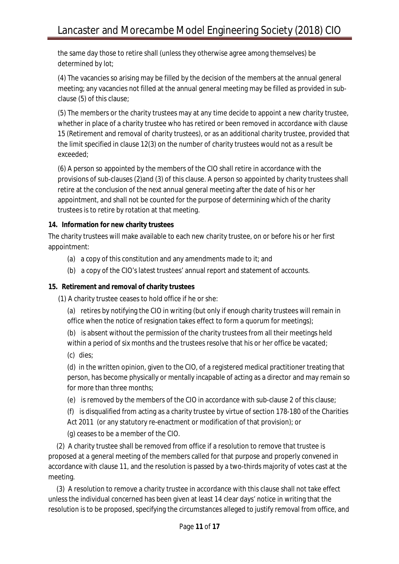the same day those to retire shall (unless they otherwise agree among themselves) be determined by lot;

(4) The vacancies so arising may be filled by the decision of the members at the annual general meeting; any vacancies not filled at the annual general meeting may be filled as provided in subclause (5) of this clause;

(5) The members or the charity trustees may at any time decide to appoint a new charity trustee, whether in place of a charity trustee who has retired or been removed in accordance with clause 15 (Retirement and removal of charity trustees), or as an additional charity trustee, provided that the limit specified in clause 12(3) on the number of charity trustees would not as a result be exceeded;

(6) A person so appointed by the members of the CIO shall retire in accordance with the provisions of sub-clauses (2)and (3) of this clause. A person so appointed by charity trustees shall retire at the conclusion of the next annual general meeting after the date of his or her appointment, and shall not be counted for the purpose of determining which of the charity trustees is to retire by rotation at that meeting.

**14. Information for new charity trustees** 

The charity trustees will make available to each new charity trustee, on or before his or her first appointment:

- (a) a copy of this constitution and any amendments made to it; and
- (b) a copy of the CIO's latest trustees' annual report and statement of accounts.

### **15. Retirement and removal of charity trustees**

(1) A charity trustee ceases to hold office if he or she:

(a) retires by notifying the CIO in writing (but only if enough charity trustees will remain in office when the notice of resignation takes effect to form a quorum for meetings);

(b) is absent without the permission of the charity trustees from all their meetings held within a period of six months and the trustees resolve that his or her office be vacated;

(c) dies;

(d) in the written opinion, given to the CIO, of a registered medical practitioner treating that person, has become physically or mentally incapable of acting as a director and may remain so for more than three months;

- (e) is removed by the members of the CIO in accordance with sub-clause 2 of this clause;
- (f) is disqualified from acting as a charity trustee by virtue of section 178-180 of the Charities Act 2011 (or any statutory re-enactment or modification of that provision); or

(g) ceases to be a member of the CIO.

 (2) A charity trustee shall be removed from office if a resolution to remove that trustee is proposed at a general meeting of the members called for that purpose and properly convened in accordance with clause 11, and the resolution is passed by a two-thirds majority of votes cast at the meeting.

 (3) A resolution to remove a charity trustee in accordance with this clause shall not take effect unless the individual concerned has been given at least 14 clear days' notice in writing that the resolution is to be proposed, specifying the circumstances alleged to justify removal from office, and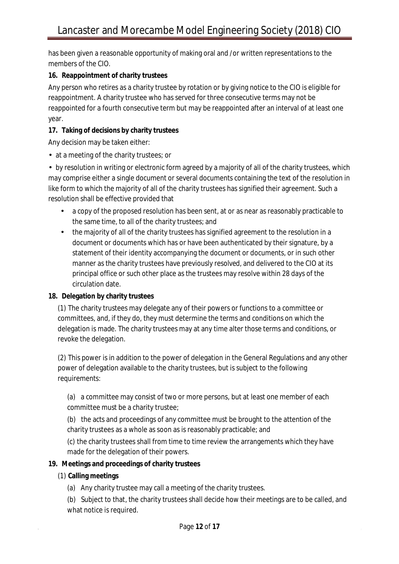has been given a reasonable opportunity of making oral and /or written representations to the members of the CIO.

**16. Reappointment of charity trustees** 

Any person who retires as a charity trustee by rotation or by giving notice to the CIO is eligible for reappointment. A charity trustee who has served for three consecutive terms may not be reappointed for a fourth consecutive term but may be reappointed after an interval of at least one year.

**17. Taking of decisions by charity trustees** 

Any decision may be taken either:

• at a meeting of the charity trustees; or

• by resolution in writing or electronic form agreed by a majority of all of the charity trustees, which may comprise either a single document or several documents containing the text of the resolution in like form to which the majority of all of the charity trustees has signified their agreement. Such a resolution shall be effective provided that

- a copy of the proposed resolution has been sent, at or as near as reasonably practicable to the same time, to all of the charity trustees; and
- the majority of all of the charity trustees has signified agreement to the resolution in a document or documents which has or have been authenticated by their signature, by a statement of their identity accompanying the document or documents, or in such other manner as the charity trustees have previously resolved, and delivered to the CIO at its principal office or such other place as the trustees may resolve within 28 days of the circulation date.
- **18. Delegation by charity trustees**

(1) The charity trustees may delegate any of their powers or functions to a committee or committees, and, if they do, they must determine the terms and conditions on which the delegation is made. The charity trustees may at any time alter those terms and conditions, or revoke the delegation.

(2) This power is in addition to the power of delegation in the General Regulations and any other power of delegation available to the charity trustees, but is subject to the following requirements:

(a) a committee may consist of two or more persons, but at least one member of each committee must be a charity trustee;

(b) the acts and proceedings of any committee must be brought to the attention of the charity trustees as a whole as soon as is reasonably practicable; and

(c) the charity trustees shall from time to time review the arrangements which they have made for the delegation of their powers.

#### **19. Meetings and proceedings of charity trustees**

- (1) **Calling meetings** 
	- (a) Any charity trustee may call a meeting of the charity trustees.

(b) Subject to that, the charity trustees shall decide how their meetings are to be called, and what notice is required.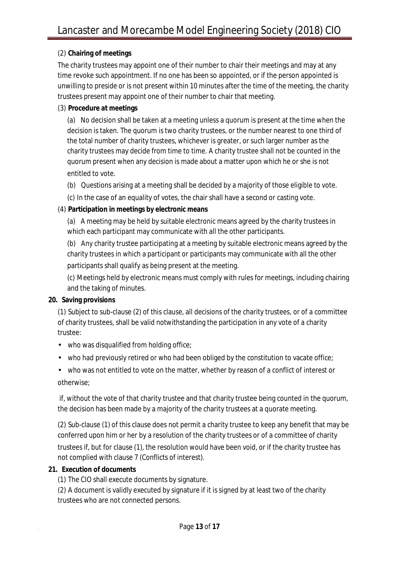# (2) **Chairing of meetings**

The charity trustees may appoint one of their number to chair their meetings and may at any time revoke such appointment. If no one has been so appointed, or if the person appointed is unwilling to preside or is not present within 10 minutes after the time of the meeting, the charity trustees present may appoint one of their number to chair that meeting.

(3) **Procedure at meetings** 

(a) No decision shall be taken at a meeting unless a quorum is present at the time when the decision is taken. The quorum is two charity trustees, or the number nearest to one third of the total number of charity trustees, whichever is greater, or such larger number as the charity trustees may decide from time to time. A charity trustee shall not be counted in the quorum present when any decision is made about a matter upon which he or she is not entitled to vote.

- (b) Questions arising at a meeting shall be decided by a majority of those eligible to vote.
- (c) In the case of an equality of votes, the chair shall have a second or casting vote.
- (4) **Participation in meetings by electronic means**

(a) A meeting may be held by suitable electronic means agreed by the charity trustees in which each participant may communicate with all the other participants.

(b) Any charity trustee participating at a meeting by suitable electronic means agreed by the charity trustees in which a participant or participants may communicate with all the other participants shall qualify as being present at the meeting.

(c) Meetings held by electronic means must comply with rules for meetings, including chairing and the taking of minutes.

**20. Saving provisions** 

(1) Subject to sub-clause (2) of this clause, all decisions of the charity trustees, or of a committee of charity trustees, shall be valid notwithstanding the participation in any vote of a charity trustee:

- who was disqualified from holding office;
- who had previously retired or who had been obliged by the constitution to vacate office;
- who was not entitled to vote on the matter, whether by reason of a conflict of interest or otherwise;

if, without the vote of that charity trustee and that charity trustee being counted in the quorum, the decision has been made by a majority of the charity trustees at a quorate meeting.

(2) Sub-clause (1) of this clause does not permit a charity trustee to keep any benefit that may be conferred upon him or her by a resolution of the charity trustees or of a committee of charity trustees if, but for clause (1), the resolution would have been void, or if the charity trustee has not complied with clause 7 (Conflicts of interest).

**21. Execution of documents** 

(1) The CIO shall execute documents by signature.

(2) A document is validly executed by signature if it is signed by at least two of the charity trustees who are not connected persons.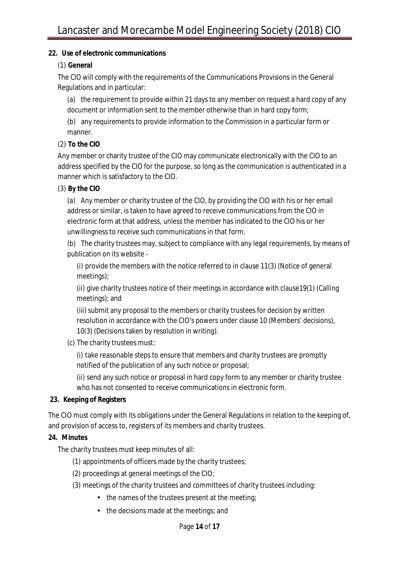**22. Use of electronic communications** 

(1) **General** 

The ClO will comply with the requirements of the Communications Provisions in the General Regulations and in particular:

(a) the requirement to provide within 21 days to any member on request a hard copy of any document or information sent to the member otherwise than in hard copy form;

(b) any requirements to provide information to the Commission in a particular form or manner.

(2) **To the CIO** 

Any member or charity trustee of the CIO may communicate electronically with the CIO to an address specified by the CIO for the purpose, so long as the communication is authenticated in a manner which is satisfactory to the CIO.

(3) **By the CIO** 

(a) Any member or charity trustee of the CIO, by providing the CIO with his or her email address or similar, is taken to have agreed to receive communications from the CIO in electronic form at that address, unless the member has indicated to the CIO his or her unwillingness to receive such communications in that form.

(b) The charity trustees may, subject to compliance with any legal requirements, by means of publication on its website -

(i) provide the members with the notice referred to in clause 11(3) (Notice of general meetings);

(ii) give charity trustees notice of their meetings in accordance with clause19(1) (Calling meetings); and

(iii) submit any proposal to the members or charity trustees for decision by written resolution in accordance with the CIO's powers under clause 10 (Members' decisions), 10(3) (Decisions taken by resolution in writing).

(c) The charity trustees must:

(i) take reasonable steps to ensure that members and charity trustees are promptly notified of the publication of any such notice or proposal;

(ii) send any such notice or proposal in hard copy form to any member or charity trustee who has not consented to receive communications in electronic form.

**23. Keeping of Registers** 

The CIO must comply with its obligations under the General Regulations in relation to the keeping of, and provision of access to, registers of its members and charity trustees.

## **24. Minutes**

The charity trustees must keep minutes of all:

(1) appointments of officers made by the charity trustees;

- (2) proceedings at general meetings of the CIO;
- (3) meetings of the charity trustees and committees of charity trustees including:
	- the names of the trustees present at the meeting;
	- the decisions made at the meetings; and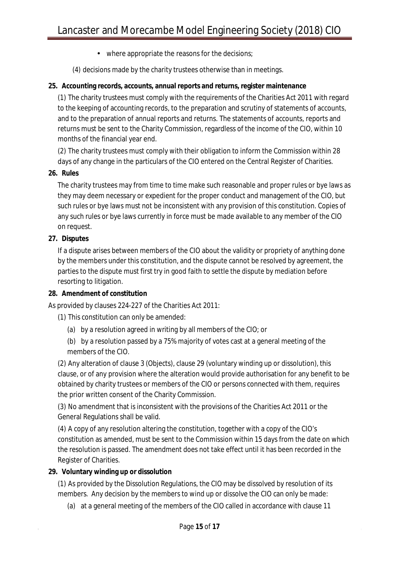• where appropriate the reasons for the decisions;

(4) decisions made by the charity trustees otherwise than in meetings.

**25. Accounting records, accounts, annual reports and returns, register maintenance** 

(1) The charity trustees must comply with the requirements of the Charities Act 2011 with regard to the keeping of accounting records, to the preparation and scrutiny of statements of accounts, and to the preparation of annual reports and returns. The statements of accounts, reports and returns must be sent to the Charity Commission, regardless of the income of the CIO, within 10 months of the financial year end.

(2) The charity trustees must comply with their obligation to inform the Commission within 28 days of any change in the particulars of the CIO entered on the Central Register of Charities.

**26. Rules** 

The charity trustees may from time to time make such reasonable and proper rules or bye laws as they may deem necessary or expedient for the proper conduct and management of the CIO, but such rules or bye laws must not be inconsistent with any provision of this constitution. Copies of any such rules or bye laws currently in force must be made available to any member of the CIO on request.

**27. Disputes** 

If a dispute arises between members of the CIO about the validity or propriety of anything done by the members under this constitution, and the dispute cannot be resolved by agreement, the parties to the dispute must first try in good faith to settle the dispute by mediation before resorting to litigation.

**28. Amendment of constitution** 

As provided by clauses 224-227 of the Charities Act 2011:

- (1) This constitution can only be amended:
	- (a) by a resolution agreed in writing by all members of the CIO; or
	- (b) by a resolution passed by a 75% majority of votes cast at a general meeting of the members of the CIO.

(2) Any alteration of clause 3 (Objects), clause 29 (voluntary winding up or dissolution), this clause, or of any provision where the alteration would provide authorisation for any benefit to be obtained by charity trustees or members of the CIO or persons connected with them, requires the prior written consent of the Charity Commission.

(3) No amendment that is inconsistent with the provisions of the Charities Act 2011 or the General Regulations shall be valid.

(4) A copy of any resolution altering the constitution, together with a copy of the CIO's constitution as amended, must be sent to the Commission within 15 days from the date on which the resolution is passed. The amendment does not take effect until it has been recorded in the Register of Charities.

**29. Voluntary winding up or dissolution** 

(1) As provided by the Dissolution Regulations, the CIO may be dissolved by resolution of its members. Any decision by the members to wind up or dissolve the CIO can only be made:

(a) at a general meeting of the members of the CIO called in accordance with clause 11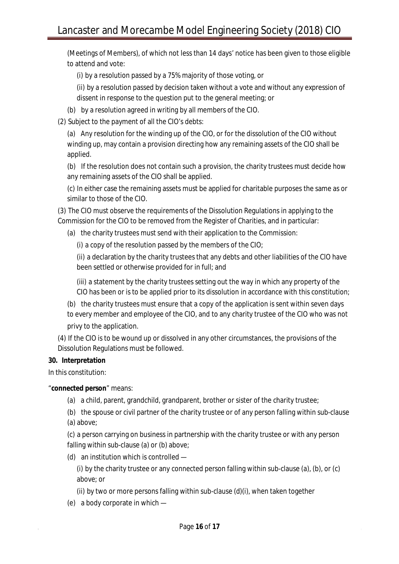(Meetings of Members), of which not less than 14 days' notice has been given to those eligible to attend and vote:

(i) by a resolution passed by a 75% majority of those voting, or

(ii) by a resolution passed by decision taken without a vote and without any expression of dissent in response to the question put to the general meeting; or

(b) by a resolution agreed in writing by all members of the CIO.

(2) Subject to the payment of all the CIO's debts:

(a) Any resolution for the winding up of the CIO, or for the dissolution of the CIO without winding up, may contain a provision directing how any remaining assets of the CIO shall be applied.

(b) If the resolution does not contain such a provision, the charity trustees must decide how any remaining assets of the CIO shall be applied.

(c) In either case the remaining assets must be applied for charitable purposes the same as or similar to those of the CIO.

(3) The CIO must observe the requirements of the Dissolution Regulations in applying to the Commission for the CIO to be removed from the Register of Charities, and in particular:

(a) the charity trustees must send with their application to the Commission:

(i) a copy of the resolution passed by the members of the CIO;

(ii) a declaration by the charity trustees that any debts and other liabilities of the ClO have been settled or otherwise provided for in full; and

(iii) a statement by the charity trustees setting out the way in which any property of the CIO has been or is to be applied prior to its dissolution in accordance with this constitution;

(b) the charity trustees must ensure that a copy of the application is sent within seven days to every member and employee of the CIO, and to any charity trustee of the CIO who was not privy to the application.

(4) If the CIO is to be wound up or dissolved in any other circumstances, the provisions of the Dissolution Regulations must be followed.

## **30. Interpretation**

In this constitution:

"**connected person**" means:

- (a) a child, parent, grandchild, grandparent, brother or sister of the charity trustee;
- (b) the spouse or civil partner of the charity trustee or of any person falling within sub-clause (a) above;

(c) a person carrying on business in partnership with the charity trustee or with any person falling within sub-clause (a) or (b) above;

- (d) an institution which is controlled
	- (i) by the charity trustee or any connected person falling within sub-clause (a), (b), or (c) above; or
	- (ii) by two or more persons falling within sub-clause (d)(i), when taken together
- (e) a body corporate in which —